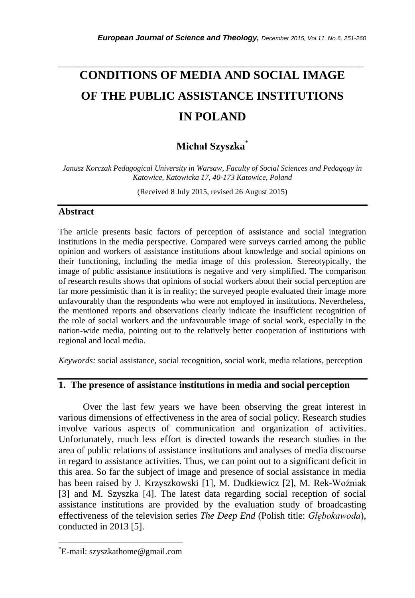# **CONDITIONS OF MEDIA AND SOCIAL IMAGE OF THE PUBLIC ASSISTANCE INSTITUTIONS IN POLAND**

*\_\_\_\_\_\_\_\_\_\_\_\_\_\_\_\_\_\_\_\_\_\_\_\_\_\_\_\_\_\_\_\_\_\_\_\_\_\_\_\_\_\_\_\_\_\_\_\_\_\_\_\_\_\_\_\_\_\_\_\_\_\_\_\_\_\_\_\_\_\_\_*

# **Michał Szyszka**\*

*Janusz Korczak Pedagogical University in Warsaw, Faculty of Social Sciences and Pedagogy in Katowice, Katowicka 17, 40-173 Katowice, Poland*

(Received 8 July 2015, revised 26 August 2015)

#### **Abstract**

The article presents basic factors of perception of assistance and social integration institutions in the media perspective. Compared were surveys carried among the public opinion and workers of assistance institutions about knowledge and social opinions on their functioning, including the media image of this profession. Stereotypically, the image of public assistance institutions is negative and very simplified. The comparison of research results shows that opinions of social workers about their social perception are far more pessimistic than it is in reality; the surveyed people evaluated their image more unfavourably than the respondents who were not employed in institutions. Nevertheless, the mentioned reports and observations clearly indicate the insufficient recognition of the role of social workers and the unfavourable image of social work, especially in the nation-wide media, pointing out to the relatively better cooperation of institutions with regional and local media.

*Keywords:* social assistance, social recognition, social work, media relations, perception

#### **1. The presence of assistance institutions in media and social perception**

Over the last few years we have been observing the great interest in various dimensions of effectiveness in the area of social policy. Research studies involve various aspects of communication and organization of activities. Unfortunately, much less effort is directed towards the research studies in the area of public relations of assistance institutions and analyses of media discourse in regard to assistance activities. Thus, we can point out to a significant deficit in this area. So far the subject of image and presence of social assistance in media has been raised by J. Krzyszkowski [1], M. Dudkiewicz [2], M. Rek-Woźniak [3] and M. Szyszka [4]. The latest data regarding social reception of social assistance institutions are provided by the evaluation study of broadcasting effectiveness of the television series *The Deep End* (Polish title: *Głębokawoda*), conducted in 2013 [5].

l

<sup>\*</sup>E-mail: szyszkathome@gmail.com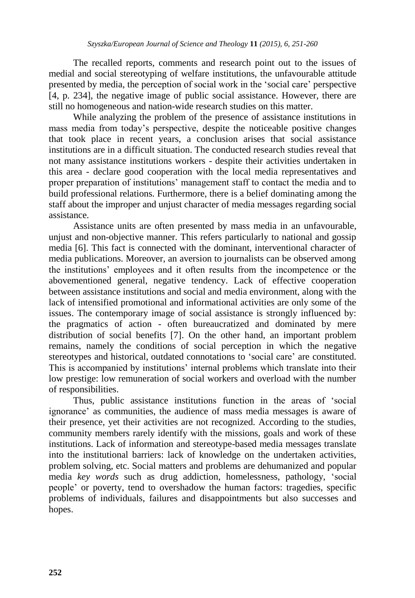The recalled reports, comments and research point out to the issues of medial and social stereotyping of welfare institutions, the unfavourable attitude presented by media, the perception of social work in the 'social care' perspective [4, p. 234], the negative image of public social assistance. However, there are still no homogeneous and nation-wide research studies on this matter.

While analyzing the problem of the presence of assistance institutions in mass media from today's perspective, despite the noticeable positive changes that took place in recent years, a conclusion arises that social assistance institutions are in a difficult situation. The conducted research studies reveal that not many assistance institutions workers - despite their activities undertaken in this area - declare good cooperation with the local media representatives and proper preparation of institutions' management staff to contact the media and to build professional relations. Furthermore, there is a belief dominating among the staff about the improper and unjust character of media messages regarding social assistance.

Assistance units are often presented by mass media in an unfavourable, unjust and non-objective manner. This refers particularly to national and gossip media [6]. This fact is connected with the dominant, interventional character of media publications. Moreover, an aversion to journalists can be observed among the institutions' employees and it often results from the incompetence or the abovementioned general, negative tendency. Lack of effective cooperation between assistance institutions and social and media environment, along with the lack of intensified promotional and informational activities are only some of the issues. The contemporary image of social assistance is strongly influenced by: the pragmatics of action - often bureaucratized and dominated by mere distribution of social benefits [7]. On the other hand, an important problem remains, namely the conditions of social perception in which the negative stereotypes and historical, outdated connotations to 'social care' are constituted. This is accompanied by institutions' internal problems which translate into their low prestige: low remuneration of social workers and overload with the number of responsibilities.

Thus, public assistance institutions function in the areas of 'social ignorance' as communities, the audience of mass media messages is aware of their presence, yet their activities are not recognized. According to the studies, community members rarely identify with the missions, goals and work of these institutions. Lack of information and stereotype-based media messages translate into the institutional barriers: lack of knowledge on the undertaken activities, problem solving, etc. Social matters and problems are dehumanized and popular media *key words* such as drug addiction, homelessness, pathology, 'social people' or poverty, tend to overshadow the human factors: tragedies, specific problems of individuals, failures and disappointments but also successes and hopes.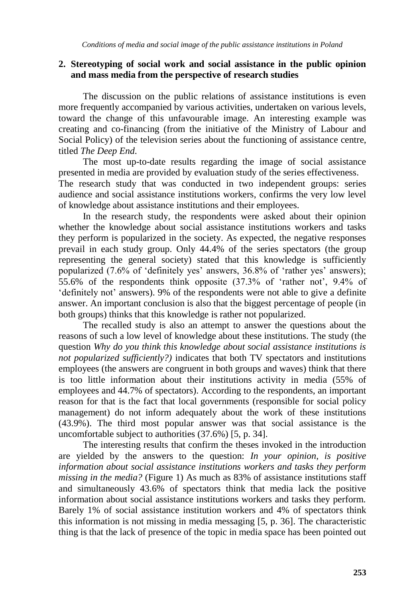## **2. Stereotyping of social work and social assistance in the public opinion and mass media from the perspective of research studies**

The discussion on the public relations of assistance institutions is even more frequently accompanied by various activities, undertaken on various levels, toward the change of this unfavourable image. An interesting example was creating and co-financing (from the initiative of the Ministry of Labour and Social Policy) of the television series about the functioning of assistance centre, titled *The Deep End*.

The most up-to-date results regarding the image of social assistance presented in media are provided by evaluation study of the series effectiveness. The research study that was conducted in two independent groups: series audience and social assistance institutions workers, confirms the very low level of knowledge about assistance institutions and their employees.

In the research study, the respondents were asked about their opinion whether the knowledge about social assistance institutions workers and tasks they perform is popularized in the society. As expected, the negative responses prevail in each study group. Only 44.4% of the series spectators (the group representing the general society) stated that this knowledge is sufficiently popularized (7.6% of 'definitely yes' answers, 36.8% of 'rather yes' answers); 55.6% of the respondents think opposite (37.3% of 'rather not', 9.4% of 'definitely not' answers). 9% of the respondents were not able to give a definite answer. An important conclusion is also that the biggest percentage of people (in both groups) thinks that this knowledge is rather not popularized.

The recalled study is also an attempt to answer the questions about the reasons of such a low level of knowledge about these institutions. The study (the question *Why do you think this knowledge about social assistance institutions is not popularized sufficiently?)* indicates that both TV spectators and institutions employees (the answers are congruent in both groups and waves) think that there is too little information about their institutions activity in media (55% of employees and 44.7% of spectators). According to the respondents, an important reason for that is the fact that local governments (responsible for social policy management) do not inform adequately about the work of these institutions (43.9%). The third most popular answer was that social assistance is the uncomfortable subject to authorities (37.6%) [5, p. 34].

The interesting results that confirm the theses invoked in the introduction are yielded by the answers to the question: *In your opinion, is positive information about social assistance institutions workers and tasks they perform missing in the media?* (Figure 1) As much as 83% of assistance institutions staff and simultaneously 43.6% of spectators think that media lack the positive information about social assistance institutions workers and tasks they perform. Barely 1% of social assistance institution workers and 4% of spectators think this information is not missing in media messaging [5, p. 36]. The characteristic thing is that the lack of presence of the topic in media space has been pointed out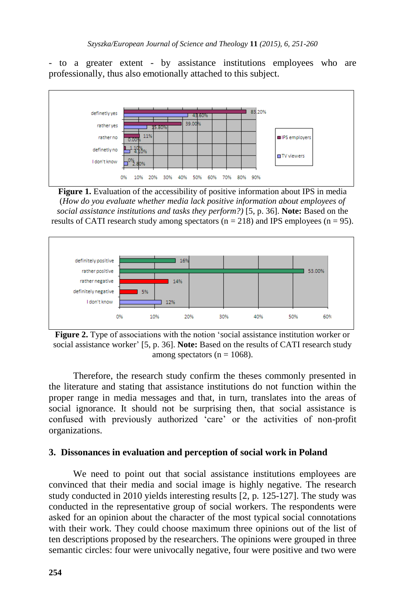- to a greater extent - by assistance institutions employees who are professionally, thus also emotionally attached to this subject.



**Figure 1.** Evaluation of the accessibility of positive information about IPS in media (*How do you evaluate whether media lack positive information about employees of social assistance institutions and tasks they perform?)* [5, p. 36]. **Note:** Based on the results of CATI research study among spectators ( $n = 218$ ) and IPS employees ( $n = 95$ ).





Therefore, the research study confirm the theses commonly presented in the literature and stating that assistance institutions do not function within the proper range in media messages and that, in turn, translates into the areas of social ignorance. It should not be surprising then, that social assistance is confused with previously authorized 'care' or the activities of non-profit organizations.

## **3. Dissonances in evaluation and perception of social work in Poland**

We need to point out that social assistance institutions employees are convinced that their media and social image is highly negative. The research study conducted in 2010 yields interesting results [2, p. 125-127]. The study was conducted in the representative group of social workers. The respondents were asked for an opinion about the character of the most typical social connotations with their work. They could choose maximum three opinions out of the list of ten descriptions proposed by the researchers. The opinions were grouped in three semantic circles: four were univocally negative, four were positive and two were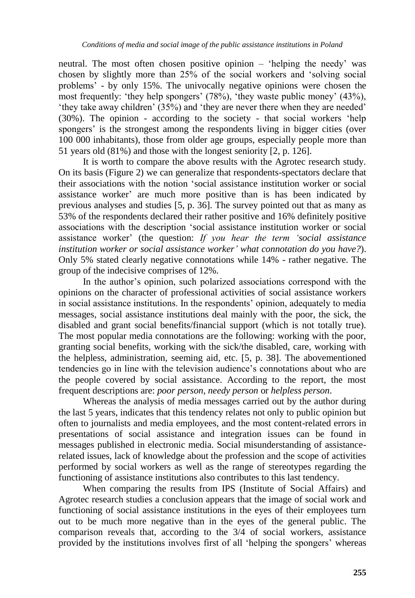neutral. The most often chosen positive opinion – 'helping the needy' was chosen by slightly more than 25% of the social workers and 'solving social problems' - by only 15%. The univocally negative opinions were chosen the most frequently: 'they help spongers' (78%), 'they waste public money' (43%), 'they take away children' (35%) and 'they are never there when they are needed' (30%). The opinion - according to the society - that social workers 'help spongers' is the strongest among the respondents living in bigger cities (over 100 000 inhabitants), those from older age groups, especially people more than 51 years old (81%) and those with the longest seniority [2, p. 126].

It is worth to compare the above results with the Agrotec research study. On its basis (Figure 2) we can generalize that respondents-spectators declare that their associations with the notion 'social assistance institution worker or social assistance worker' are much more positive than is has been indicated by previous analyses and studies [5, p. 36]. The survey pointed out that as many as 53% of the respondents declared their rather positive and 16% definitely positive associations with the description 'social assistance institution worker or social assistance worker' (the question: *If you hear the term 'social assistance institution worker or social assistance worker' what connotation do you have?*). Only 5% stated clearly negative connotations while 14% - rather negative. The group of the indecisive comprises of 12%.

In the author's opinion, such polarized associations correspond with the opinions on the character of professional activities of social assistance workers in social assistance institutions. In the respondents' opinion, adequately to media messages, social assistance institutions deal mainly with the poor, the sick, the disabled and grant social benefits/financial support (which is not totally true). The most popular media connotations are the following: working with the poor, granting social benefits, working with the sick/the disabled, care, working with the helpless, administration, seeming aid, etc. [5, p. 38]. The abovementioned tendencies go in line with the television audience's connotations about who are the people covered by social assistance. According to the report, the most frequent descriptions are: *poor person, needy person* or *helpless person*.

Whereas the analysis of media messages carried out by the author during the last 5 years, indicates that this tendency relates not only to public opinion but often to journalists and media employees, and the most content-related errors in presentations of social assistance and integration issues can be found in messages published in electronic media. Social misunderstanding of assistancerelated issues, lack of knowledge about the profession and the scope of activities performed by social workers as well as the range of stereotypes regarding the functioning of assistance institutions also contributes to this last tendency.

When comparing the results from IPS (Institute of Social Affairs) and Agrotec research studies a conclusion appears that the image of social work and functioning of social assistance institutions in the eyes of their employees turn out to be much more negative than in the eyes of the general public. The comparison reveals that, according to the 3/4 of social workers, assistance provided by the institutions involves first of all 'helping the spongers' whereas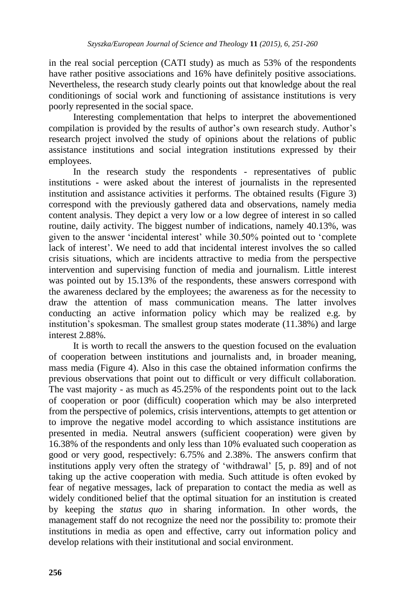in the real social perception (CATI study) as much as 53% of the respondents have rather positive associations and 16% have definitely positive associations. Nevertheless, the research study clearly points out that knowledge about the real conditionings of social work and functioning of assistance institutions is very poorly represented in the social space.

Interesting complementation that helps to interpret the abovementioned compilation is provided by the results of author's own research study. Author's research project involved the study of opinions about the relations of public assistance institutions and social integration institutions expressed by their employees.

In the research study the respondents - representatives of public institutions - were asked about the interest of journalists in the represented institution and assistance activities it performs. The obtained results (Figure 3) correspond with the previously gathered data and observations, namely media content analysis. They depict a very low or a low degree of interest in so called routine, daily activity. The biggest number of indications, namely 40.13%, was given to the answer 'incidental interest' while 30.50% pointed out to 'complete lack of interest'. We need to add that incidental interest involves the so called crisis situations, which are incidents attractive to media from the perspective intervention and supervising function of media and journalism. Little interest was pointed out by 15.13% of the respondents, these answers correspond with the awareness declared by the employees; the awareness as for the necessity to draw the attention of mass communication means. The latter involves conducting an active information policy which may be realized e.g. by institution's spokesman. The smallest group states moderate (11.38%) and large interest 2.88%.

It is worth to recall the answers to the question focused on the evaluation of cooperation between institutions and journalists and, in broader meaning, mass media (Figure 4). Also in this case the obtained information confirms the previous observations that point out to difficult or very difficult collaboration. The vast majority - as much as 45.25% of the respondents point out to the lack of cooperation or poor (difficult) cooperation which may be also interpreted from the perspective of polemics, crisis interventions, attempts to get attention or to improve the negative model according to which assistance institutions are presented in media. Neutral answers (sufficient cooperation) were given by 16.38% of the respondents and only less than 10% evaluated such cooperation as good or very good, respectively: 6.75% and 2.38%. The answers confirm that institutions apply very often the strategy of 'withdrawal' [5, p. 89] and of not taking up the active cooperation with media. Such attitude is often evoked by fear of negative messages, lack of preparation to contact the media as well as widely conditioned belief that the optimal situation for an institution is created by keeping the *status quo* in sharing information. In other words, the management staff do not recognize the need nor the possibility to: promote their institutions in media as open and effective, carry out information policy and develop relations with their institutional and social environment.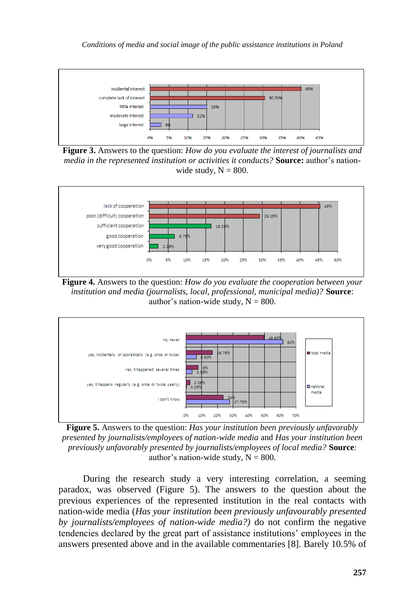

**Figure 3.** Answers to the question: *How do you evaluate the interest of journalists and media in the represented institution or activities it conducts?* **Source:** author's nationwide study,  $N = 800$ .



**Figure 4.** Answers to the question: *How do you evaluate the cooperation between your institution and media (journalists, local, professional, municipal media)?* **Source**: author's nation-wide study,  $N = 800$ .



**Figure 5.** Answers to the question: *Has your institution been previously unfavorably presented by journalists/employees of nation-wide media* and *Has your institution been previously unfavorably presented by journalists/employees of local media?* **Source**: author's nation-wide study,  $N = 800$ .

During the research study a very interesting correlation, a seeming paradox, was observed (Figure 5). The answers to the question about the previous experiences of the represented institution in the real contacts with nation-wide media (*Has your institution been previously unfavourably presented by journalists/employees of nation-wide media?)* do not confirm the negative tendencies declared by the great part of assistance institutions' employees in the answers presented above and in the available commentaries [8]. Barely 10.5% of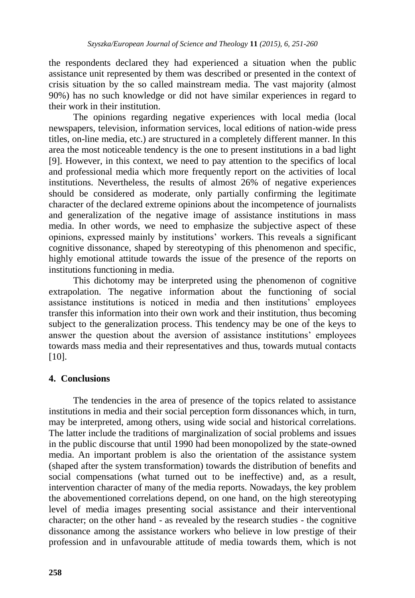the respondents declared they had experienced a situation when the public assistance unit represented by them was described or presented in the context of crisis situation by the so called mainstream media. The vast majority (almost 90%) has no such knowledge or did not have similar experiences in regard to their work in their institution.

The opinions regarding negative experiences with local media (local newspapers, television, information services, local editions of nation-wide press titles, on-line media, etc.) are structured in a completely different manner. In this area the most noticeable tendency is the one to present institutions in a bad light [9]. However, in this context, we need to pay attention to the specifics of local and professional media which more frequently report on the activities of local institutions. Nevertheless, the results of almost 26% of negative experiences should be considered as moderate, only partially confirming the legitimate character of the declared extreme opinions about the incompetence of journalists and generalization of the negative image of assistance institutions in mass media. In other words, we need to emphasize the subjective aspect of these opinions, expressed mainly by institutions' workers. This reveals a significant cognitive dissonance, shaped by stereotyping of this phenomenon and specific, highly emotional attitude towards the issue of the presence of the reports on institutions functioning in media.

This dichotomy may be interpreted using the phenomenon of cognitive extrapolation. The negative information about the functioning of social assistance institutions is noticed in media and then institutions' employees transfer this information into their own work and their institution, thus becoming subject to the generalization process. This tendency may be one of the keys to answer the question about the aversion of assistance institutions' employees towards mass media and their representatives and thus, towards mutual contacts [10].

# **4. Conclusions**

The tendencies in the area of presence of the topics related to assistance institutions in media and their social perception form dissonances which, in turn, may be interpreted, among others, using wide social and historical correlations. The latter include the traditions of marginalization of social problems and issues in the public discourse that until 1990 had been monopolized by the state-owned media. An important problem is also the orientation of the assistance system (shaped after the system transformation) towards the distribution of benefits and social compensations (what turned out to be ineffective) and, as a result, intervention character of many of the media reports. Nowadays, the key problem the abovementioned correlations depend, on one hand, on the high stereotyping level of media images presenting social assistance and their interventional character; on the other hand - as revealed by the research studies - the cognitive dissonance among the assistance workers who believe in low prestige of their profession and in unfavourable attitude of media towards them, which is not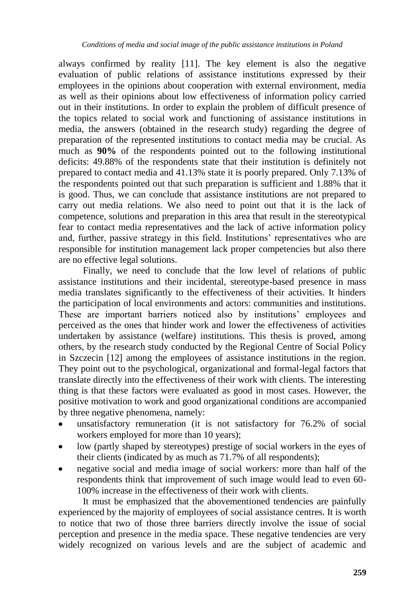always confirmed by reality [11]. The key element is also the negative evaluation of public relations of assistance institutions expressed by their employees in the opinions about cooperation with external environment, media as well as their opinions about low effectiveness of information policy carried out in their institutions. In order to explain the problem of difficult presence of the topics related to social work and functioning of assistance institutions in media, the answers (obtained in the research study) regarding the degree of preparation of the represented institutions to contact media may be crucial. As much as **90%** of the respondents pointed out to the following institutional deficits: 49.88% of the respondents state that their institution is definitely not prepared to contact media and 41.13% state it is poorly prepared. Only 7.13% of the respondents pointed out that such preparation is sufficient and 1.88% that it is good. Thus, we can conclude that assistance institutions are not prepared to carry out media relations. We also need to point out that it is the lack of competence, solutions and preparation in this area that result in the stereotypical fear to contact media representatives and the lack of active information policy and, further, passive strategy in this field. Institutions' representatives who are responsible for institution management lack proper competencies but also there are no effective legal solutions.

Finally, we need to conclude that the low level of relations of public assistance institutions and their incidental, stereotype-based presence in mass media translates significantly to the effectiveness of their activities. It hinders the participation of local environments and actors: communities and institutions. These are important barriers noticed also by institutions' employees and perceived as the ones that hinder work and lower the effectiveness of activities undertaken by assistance (welfare) institutions. This thesis is proved, among others, by the research study conducted by the Regional Centre of Social Policy in Szczecin [12] among the employees of assistance institutions in the region. They point out to the psychological, organizational and formal-legal factors that translate directly into the effectiveness of their work with clients. The interesting thing is that these factors were evaluated as good in most cases. However, the positive motivation to work and good organizational conditions are accompanied by three negative phenomena, namely:

- unsatisfactory remuneration (it is not satisfactory for 76.2% of social workers employed for more than 10 years);
- low (partly shaped by stereotypes) prestige of social workers in the eyes of their clients (indicated by as much as 71.7% of all respondents);
- negative social and media image of social workers: more than half of the respondents think that improvement of such image would lead to even 60- 100% increase in the effectiveness of their work with clients.

It must be emphasized that the abovementioned tendencies are painfully experienced by the majority of employees of social assistance centres. It is worth to notice that two of those three barriers directly involve the issue of social perception and presence in the media space. These negative tendencies are very widely recognized on various levels and are the subject of academic and